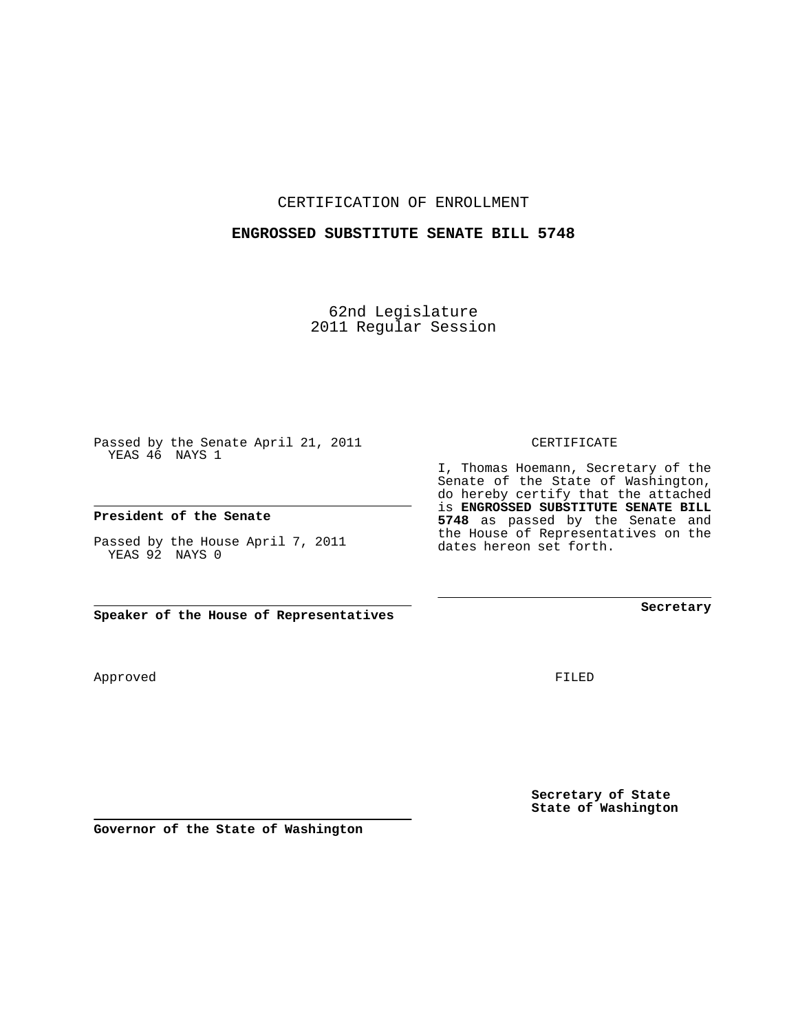CERTIFICATION OF ENROLLMENT

## **ENGROSSED SUBSTITUTE SENATE BILL 5748**

62nd Legislature 2011 Regular Session

Passed by the Senate April 21, 2011 YEAS 46 NAYS 1

**President of the Senate**

Passed by the House April 7, 2011 YEAS 92 NAYS 0

**Speaker of the House of Representatives**

Approved

FILED

**Secretary of State State of Washington**

**Governor of the State of Washington**

CERTIFICATE

I, Thomas Hoemann, Secretary of the Senate of the State of Washington, do hereby certify that the attached is **ENGROSSED SUBSTITUTE SENATE BILL 5748** as passed by the Senate and the House of Representatives on the dates hereon set forth.

**Secretary**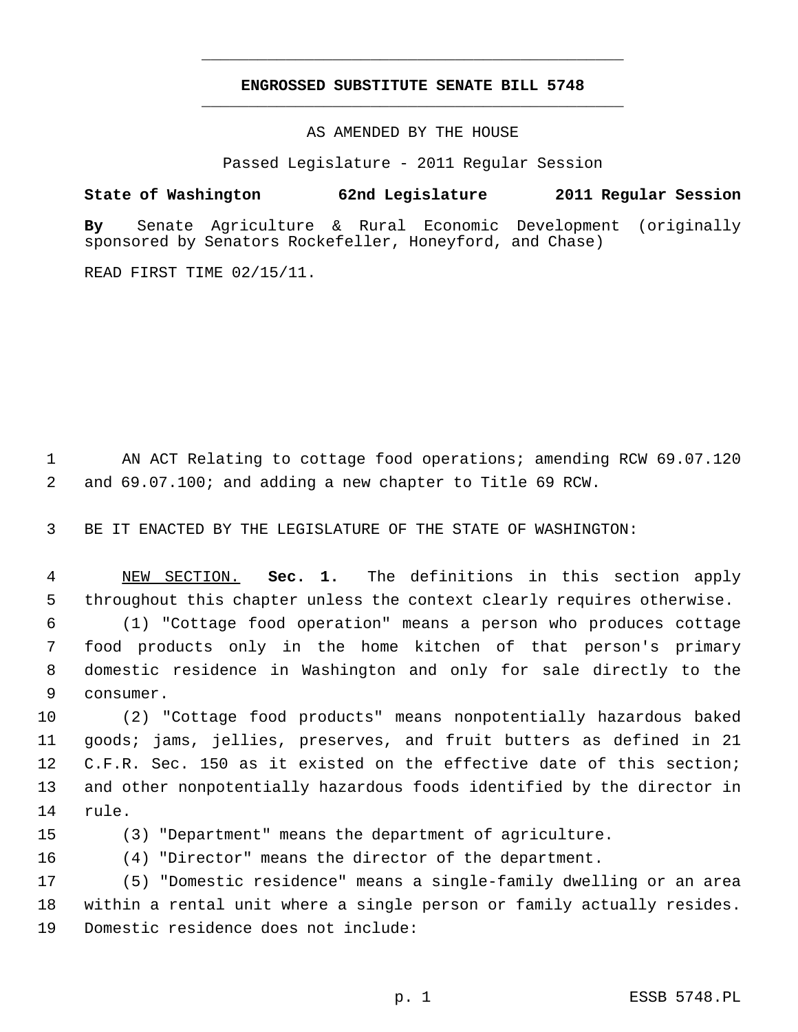## **ENGROSSED SUBSTITUTE SENATE BILL 5748** \_\_\_\_\_\_\_\_\_\_\_\_\_\_\_\_\_\_\_\_\_\_\_\_\_\_\_\_\_\_\_\_\_\_\_\_\_\_\_\_\_\_\_\_\_

\_\_\_\_\_\_\_\_\_\_\_\_\_\_\_\_\_\_\_\_\_\_\_\_\_\_\_\_\_\_\_\_\_\_\_\_\_\_\_\_\_\_\_\_\_

AS AMENDED BY THE HOUSE

Passed Legislature - 2011 Regular Session

## **State of Washington 62nd Legislature 2011 Regular Session**

**By** Senate Agriculture & Rural Economic Development (originally sponsored by Senators Rockefeller, Honeyford, and Chase)

READ FIRST TIME 02/15/11.

1 AN ACT Relating to cottage food operations; amending RCW 69.07.120 2 and 69.07.100; and adding a new chapter to Title 69 RCW.

3 BE IT ENACTED BY THE LEGISLATURE OF THE STATE OF WASHINGTON:

 4 NEW SECTION. **Sec. 1.** The definitions in this section apply 5 throughout this chapter unless the context clearly requires otherwise.

 6 (1) "Cottage food operation" means a person who produces cottage 7 food products only in the home kitchen of that person's primary 8 domestic residence in Washington and only for sale directly to the 9 consumer.

10 (2) "Cottage food products" means nonpotentially hazardous baked 11 goods; jams, jellies, preserves, and fruit butters as defined in 21 12 C.F.R. Sec. 150 as it existed on the effective date of this section; 13 and other nonpotentially hazardous foods identified by the director in 14 rule.

15 (3) "Department" means the department of agriculture.

16 (4) "Director" means the director of the department.

17 (5) "Domestic residence" means a single-family dwelling or an area 18 within a rental unit where a single person or family actually resides. 19 Domestic residence does not include: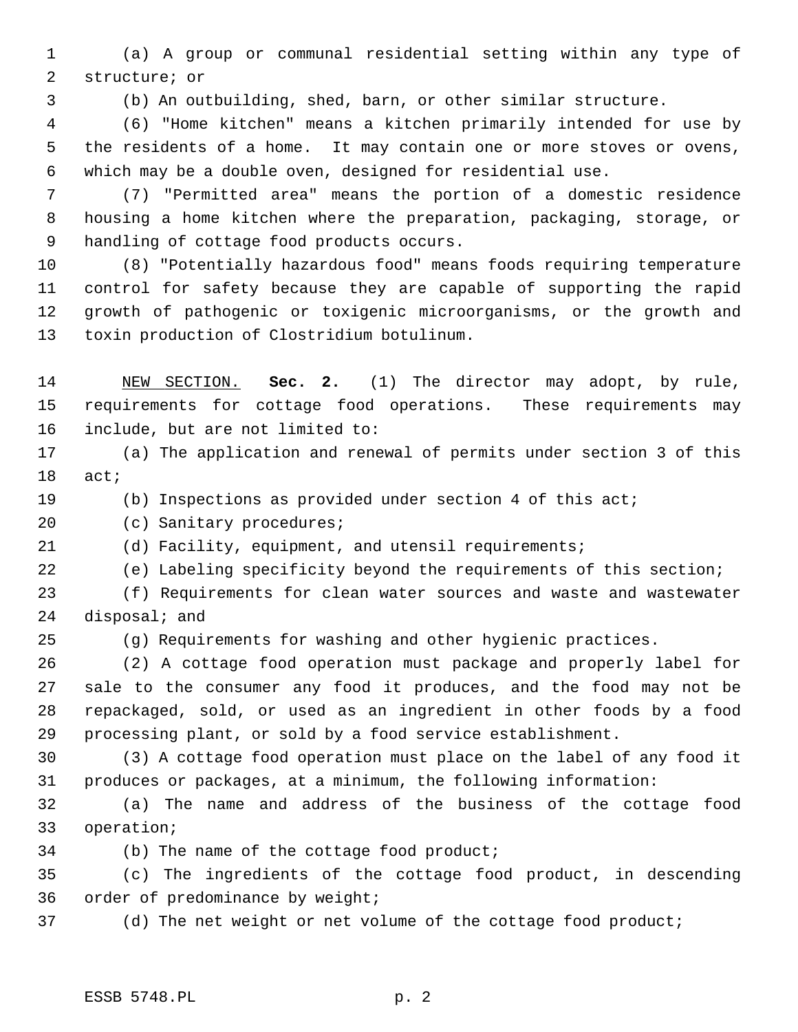1 (a) A group or communal residential setting within any type of 2 structure; or

3 (b) An outbuilding, shed, barn, or other similar structure.

 4 (6) "Home kitchen" means a kitchen primarily intended for use by 5 the residents of a home. It may contain one or more stoves or ovens, 6 which may be a double oven, designed for residential use.

 7 (7) "Permitted area" means the portion of a domestic residence 8 housing a home kitchen where the preparation, packaging, storage, or 9 handling of cottage food products occurs.

10 (8) "Potentially hazardous food" means foods requiring temperature 11 control for safety because they are capable of supporting the rapid 12 growth of pathogenic or toxigenic microorganisms, or the growth and 13 toxin production of Clostridium botulinum.

14 NEW SECTION. **Sec. 2.** (1) The director may adopt, by rule, 15 requirements for cottage food operations. These requirements may 16 include, but are not limited to:

17 (a) The application and renewal of permits under section 3 of this 18 act;

19 (b) Inspections as provided under section 4 of this act;

20 (c) Sanitary procedures;

21 (d) Facility, equipment, and utensil requirements;

22 (e) Labeling specificity beyond the requirements of this section;

23 (f) Requirements for clean water sources and waste and wastewater 24 disposal; and

25 (g) Requirements for washing and other hygienic practices.

26 (2) A cottage food operation must package and properly label for 27 sale to the consumer any food it produces, and the food may not be 28 repackaged, sold, or used as an ingredient in other foods by a food 29 processing plant, or sold by a food service establishment.

30 (3) A cottage food operation must place on the label of any food it 31 produces or packages, at a minimum, the following information:

32 (a) The name and address of the business of the cottage food 33 operation;

34 (b) The name of the cottage food product;

35 (c) The ingredients of the cottage food product, in descending 36 order of predominance by weight;

37 (d) The net weight or net volume of the cottage food product;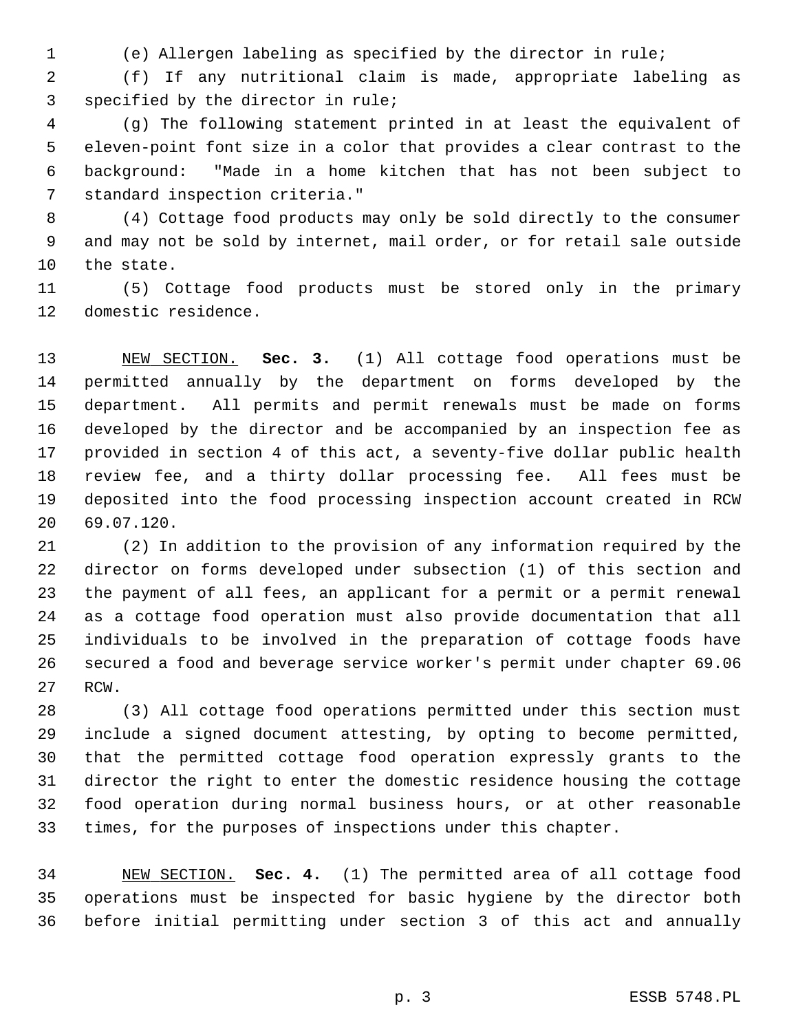1 (e) Allergen labeling as specified by the director in rule;

 2 (f) If any nutritional claim is made, appropriate labeling as 3 specified by the director in rule;

 4 (g) The following statement printed in at least the equivalent of 5 eleven-point font size in a color that provides a clear contrast to the 6 background: "Made in a home kitchen that has not been subject to 7 standard inspection criteria."

 8 (4) Cottage food products may only be sold directly to the consumer 9 and may not be sold by internet, mail order, or for retail sale outside 10 the state.

11 (5) Cottage food products must be stored only in the primary 12 domestic residence.

13 NEW SECTION. **Sec. 3.** (1) All cottage food operations must be 14 permitted annually by the department on forms developed by the 15 department. All permits and permit renewals must be made on forms 16 developed by the director and be accompanied by an inspection fee as 17 provided in section 4 of this act, a seventy-five dollar public health 18 review fee, and a thirty dollar processing fee. All fees must be 19 deposited into the food processing inspection account created in RCW 20 69.07.120.

21 (2) In addition to the provision of any information required by the 22 director on forms developed under subsection (1) of this section and 23 the payment of all fees, an applicant for a permit or a permit renewal 24 as a cottage food operation must also provide documentation that all 25 individuals to be involved in the preparation of cottage foods have 26 secured a food and beverage service worker's permit under chapter 69.06 27 RCW.

28 (3) All cottage food operations permitted under this section must 29 include a signed document attesting, by opting to become permitted, 30 that the permitted cottage food operation expressly grants to the 31 director the right to enter the domestic residence housing the cottage 32 food operation during normal business hours, or at other reasonable 33 times, for the purposes of inspections under this chapter.

34 NEW SECTION. **Sec. 4.** (1) The permitted area of all cottage food 35 operations must be inspected for basic hygiene by the director both 36 before initial permitting under section 3 of this act and annually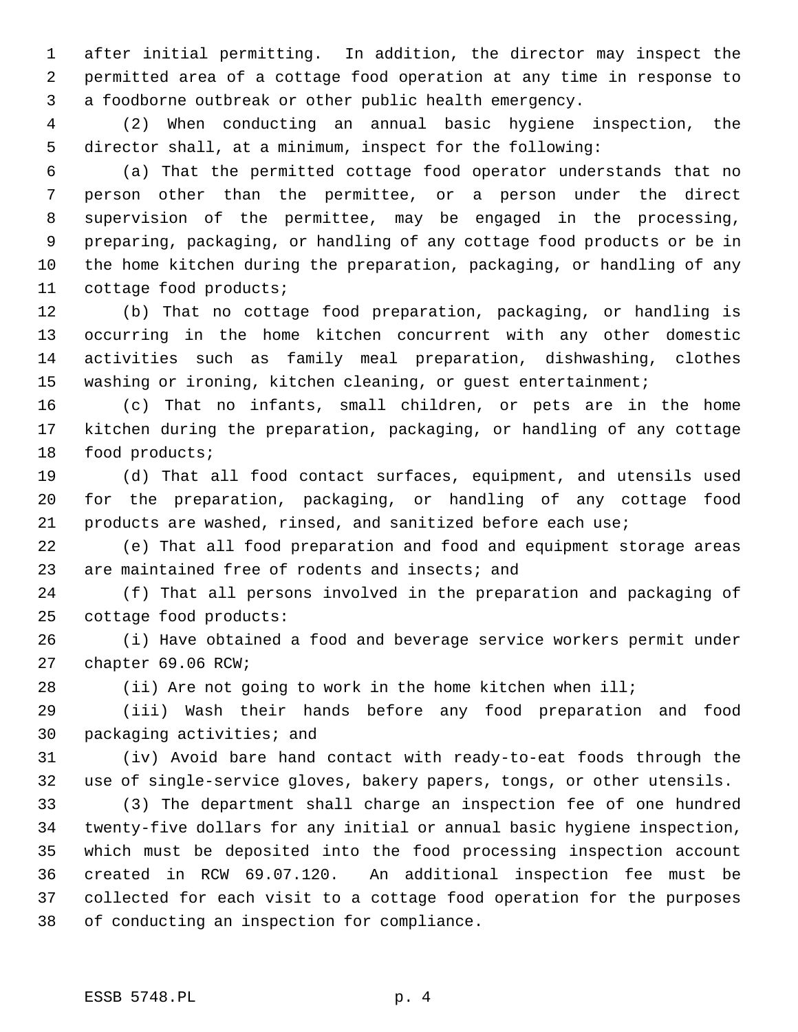1 after initial permitting. In addition, the director may inspect the 2 permitted area of a cottage food operation at any time in response to 3 a foodborne outbreak or other public health emergency.

 4 (2) When conducting an annual basic hygiene inspection, the 5 director shall, at a minimum, inspect for the following:

 6 (a) That the permitted cottage food operator understands that no 7 person other than the permittee, or a person under the direct 8 supervision of the permittee, may be engaged in the processing, 9 preparing, packaging, or handling of any cottage food products or be in 10 the home kitchen during the preparation, packaging, or handling of any 11 cottage food products;

12 (b) That no cottage food preparation, packaging, or handling is 13 occurring in the home kitchen concurrent with any other domestic 14 activities such as family meal preparation, dishwashing, clothes 15 washing or ironing, kitchen cleaning, or guest entertainment;

16 (c) That no infants, small children, or pets are in the home 17 kitchen during the preparation, packaging, or handling of any cottage 18 food products;

19 (d) That all food contact surfaces, equipment, and utensils used 20 for the preparation, packaging, or handling of any cottage food 21 products are washed, rinsed, and sanitized before each use;

22 (e) That all food preparation and food and equipment storage areas 23 are maintained free of rodents and insects; and

24 (f) That all persons involved in the preparation and packaging of 25 cottage food products:

26 (i) Have obtained a food and beverage service workers permit under 27 chapter 69.06 RCW;

28 (ii) Are not going to work in the home kitchen when ill;

29 (iii) Wash their hands before any food preparation and food 30 packaging activities; and

31 (iv) Avoid bare hand contact with ready-to-eat foods through the 32 use of single-service gloves, bakery papers, tongs, or other utensils.

33 (3) The department shall charge an inspection fee of one hundred 34 twenty-five dollars for any initial or annual basic hygiene inspection, 35 which must be deposited into the food processing inspection account 36 created in RCW 69.07.120. An additional inspection fee must be 37 collected for each visit to a cottage food operation for the purposes 38 of conducting an inspection for compliance.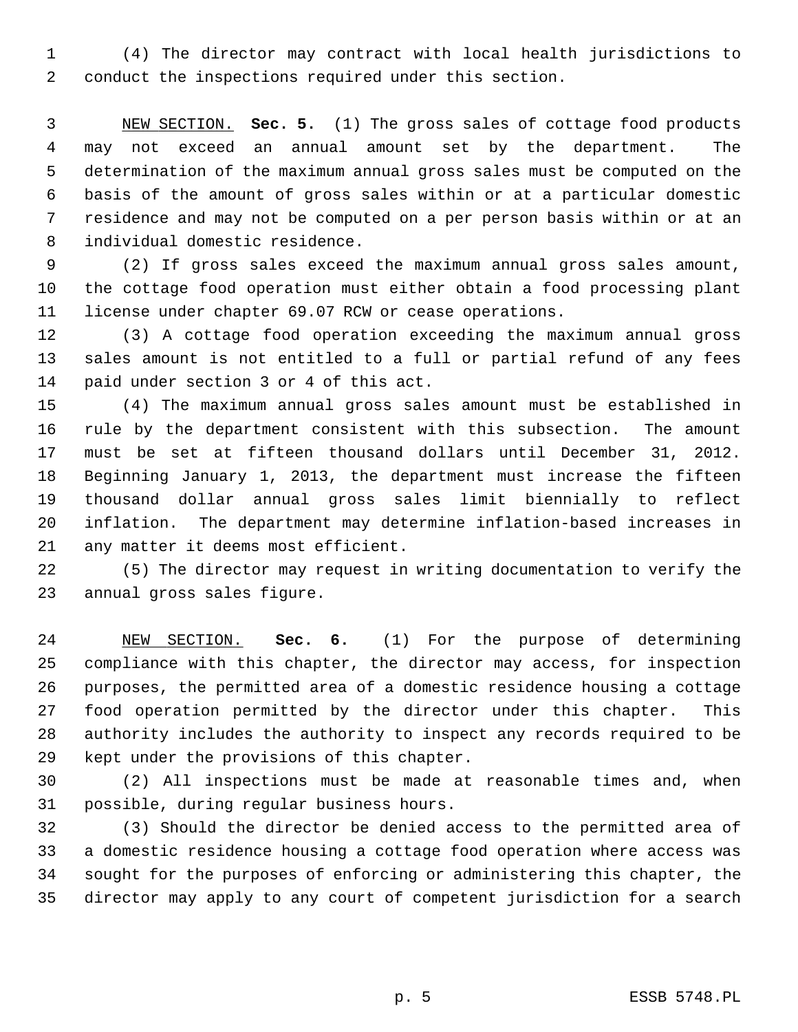1 (4) The director may contract with local health jurisdictions to 2 conduct the inspections required under this section.

 3 NEW SECTION. **Sec. 5.** (1) The gross sales of cottage food products 4 may not exceed an annual amount set by the department. The 5 determination of the maximum annual gross sales must be computed on the 6 basis of the amount of gross sales within or at a particular domestic 7 residence and may not be computed on a per person basis within or at an 8 individual domestic residence.

 9 (2) If gross sales exceed the maximum annual gross sales amount, 10 the cottage food operation must either obtain a food processing plant 11 license under chapter 69.07 RCW or cease operations.

12 (3) A cottage food operation exceeding the maximum annual gross 13 sales amount is not entitled to a full or partial refund of any fees 14 paid under section 3 or 4 of this act.

15 (4) The maximum annual gross sales amount must be established in 16 rule by the department consistent with this subsection. The amount 17 must be set at fifteen thousand dollars until December 31, 2012. 18 Beginning January 1, 2013, the department must increase the fifteen 19 thousand dollar annual gross sales limit biennially to reflect 20 inflation. The department may determine inflation-based increases in 21 any matter it deems most efficient.

22 (5) The director may request in writing documentation to verify the 23 annual gross sales figure.

24 NEW SECTION. **Sec. 6.** (1) For the purpose of determining 25 compliance with this chapter, the director may access, for inspection 26 purposes, the permitted area of a domestic residence housing a cottage 27 food operation permitted by the director under this chapter. This 28 authority includes the authority to inspect any records required to be 29 kept under the provisions of this chapter.

30 (2) All inspections must be made at reasonable times and, when 31 possible, during regular business hours.

32 (3) Should the director be denied access to the permitted area of 33 a domestic residence housing a cottage food operation where access was 34 sought for the purposes of enforcing or administering this chapter, the 35 director may apply to any court of competent jurisdiction for a search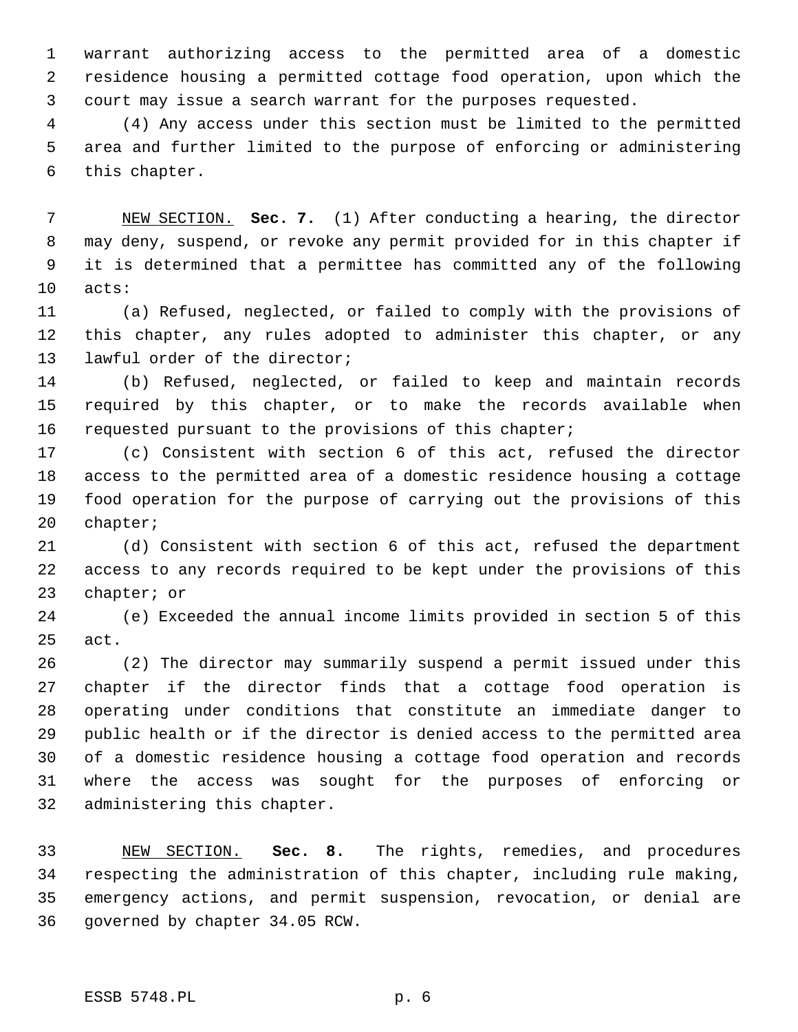1 warrant authorizing access to the permitted area of a domestic 2 residence housing a permitted cottage food operation, upon which the 3 court may issue a search warrant for the purposes requested.

 4 (4) Any access under this section must be limited to the permitted 5 area and further limited to the purpose of enforcing or administering 6 this chapter.

 7 NEW SECTION. **Sec. 7.** (1) After conducting a hearing, the director 8 may deny, suspend, or revoke any permit provided for in this chapter if 9 it is determined that a permittee has committed any of the following 10 acts:

11 (a) Refused, neglected, or failed to comply with the provisions of 12 this chapter, any rules adopted to administer this chapter, or any 13 lawful order of the director;

14 (b) Refused, neglected, or failed to keep and maintain records 15 required by this chapter, or to make the records available when 16 requested pursuant to the provisions of this chapter;

17 (c) Consistent with section 6 of this act, refused the director 18 access to the permitted area of a domestic residence housing a cottage 19 food operation for the purpose of carrying out the provisions of this 20 chapter;

21 (d) Consistent with section 6 of this act, refused the department 22 access to any records required to be kept under the provisions of this 23 chapter; or

24 (e) Exceeded the annual income limits provided in section 5 of this 25 act.

26 (2) The director may summarily suspend a permit issued under this 27 chapter if the director finds that a cottage food operation is 28 operating under conditions that constitute an immediate danger to 29 public health or if the director is denied access to the permitted area 30 of a domestic residence housing a cottage food operation and records 31 where the access was sought for the purposes of enforcing or 32 administering this chapter.

33 NEW SECTION. **Sec. 8.** The rights, remedies, and procedures 34 respecting the administration of this chapter, including rule making, 35 emergency actions, and permit suspension, revocation, or denial are 36 governed by chapter 34.05 RCW.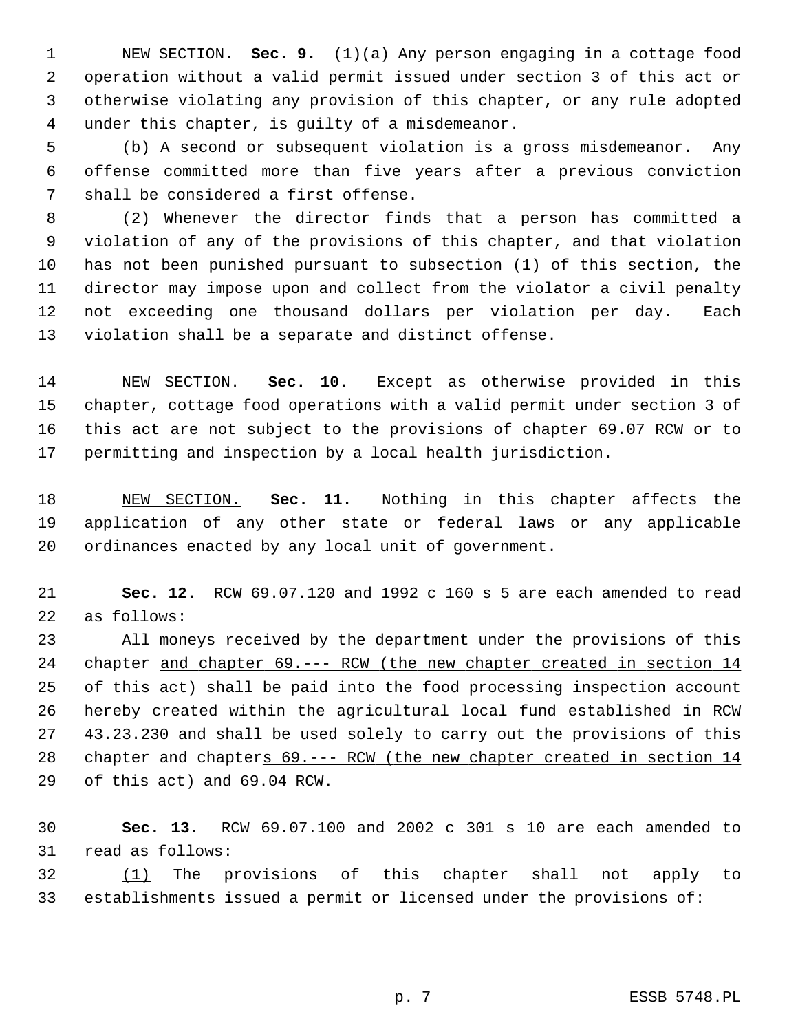1 NEW SECTION. **Sec. 9.** (1)(a) Any person engaging in a cottage food 2 operation without a valid permit issued under section 3 of this act or 3 otherwise violating any provision of this chapter, or any rule adopted 4 under this chapter, is guilty of a misdemeanor.

 5 (b) A second or subsequent violation is a gross misdemeanor. Any 6 offense committed more than five years after a previous conviction 7 shall be considered a first offense.

 8 (2) Whenever the director finds that a person has committed a 9 violation of any of the provisions of this chapter, and that violation 10 has not been punished pursuant to subsection (1) of this section, the 11 director may impose upon and collect from the violator a civil penalty 12 not exceeding one thousand dollars per violation per day. Each 13 violation shall be a separate and distinct offense.

14 NEW SECTION. **Sec. 10.** Except as otherwise provided in this 15 chapter, cottage food operations with a valid permit under section 3 of 16 this act are not subject to the provisions of chapter 69.07 RCW or to 17 permitting and inspection by a local health jurisdiction.

18 NEW SECTION. **Sec. 11.** Nothing in this chapter affects the 19 application of any other state or federal laws or any applicable 20 ordinances enacted by any local unit of government.

21 **Sec. 12.** RCW 69.07.120 and 1992 c 160 s 5 are each amended to read 22 as follows:

23 All moneys received by the department under the provisions of this 24 chapter and chapter 69.--- RCW (the new chapter created in section 14 25 of this act) shall be paid into the food processing inspection account 26 hereby created within the agricultural local fund established in RCW 27 43.23.230 and shall be used solely to carry out the provisions of this 28 chapter and chapters 69.--- RCW (the new chapter created in section 14 29 of this act) and 69.04 RCW.

30 **Sec. 13.** RCW 69.07.100 and 2002 c 301 s 10 are each amended to 31 read as follows:

32 (1) The provisions of this chapter shall not apply to 33 establishments issued a permit or licensed under the provisions of: